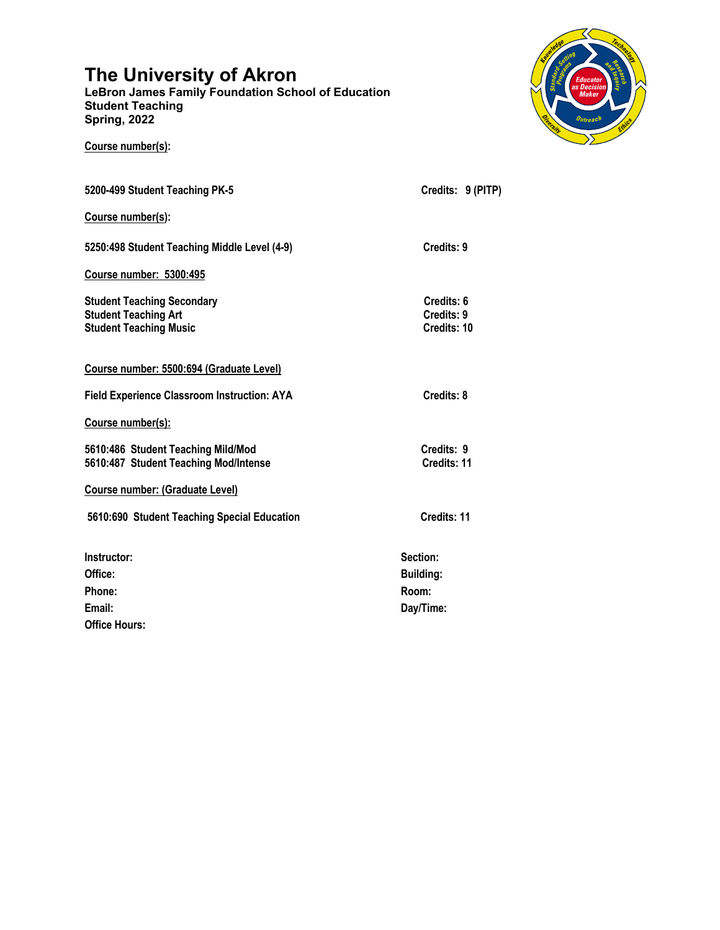# **The University of Akron**

**Course number(s):** 

**LeBron James Family Foundation School of Education Student Teaching Spring, 2022**



| 5200-499 Student Teaching PK-5                                                                    | Credits: 9 (PITP)                       |
|---------------------------------------------------------------------------------------------------|-----------------------------------------|
| Course number(s):                                                                                 |                                         |
| 5250:498 Student Teaching Middle Level (4-9)                                                      | Credits: 9                              |
| <b>Course number: 5300:495</b>                                                                    |                                         |
| <b>Student Teaching Secondary</b><br><b>Student Teaching Art</b><br><b>Student Teaching Music</b> | Credits: 6<br>Credits: 9<br>Credits: 10 |
| Course number: 5500:694 (Graduate Level)                                                          |                                         |
| Field Experience Classroom Instruction: AYA                                                       | Credits: 8                              |
| Course number(s):                                                                                 |                                         |
| 5610:486 Student Teaching Mild/Mod<br>5610:487 Student Teaching Mod/Intense                       | Credits: 9<br>Credits: 11               |
| <b>Course number: (Graduate Level)</b>                                                            |                                         |
| 5610:690 Student Teaching Special Education                                                       | Credits: 11                             |
| Instructor:                                                                                       | Section:                                |
| Office:                                                                                           | <b>Building:</b>                        |
| Phone:                                                                                            | Room:                                   |
| Email:                                                                                            | Day/Time:                               |
| <b>Office Hours:</b>                                                                              |                                         |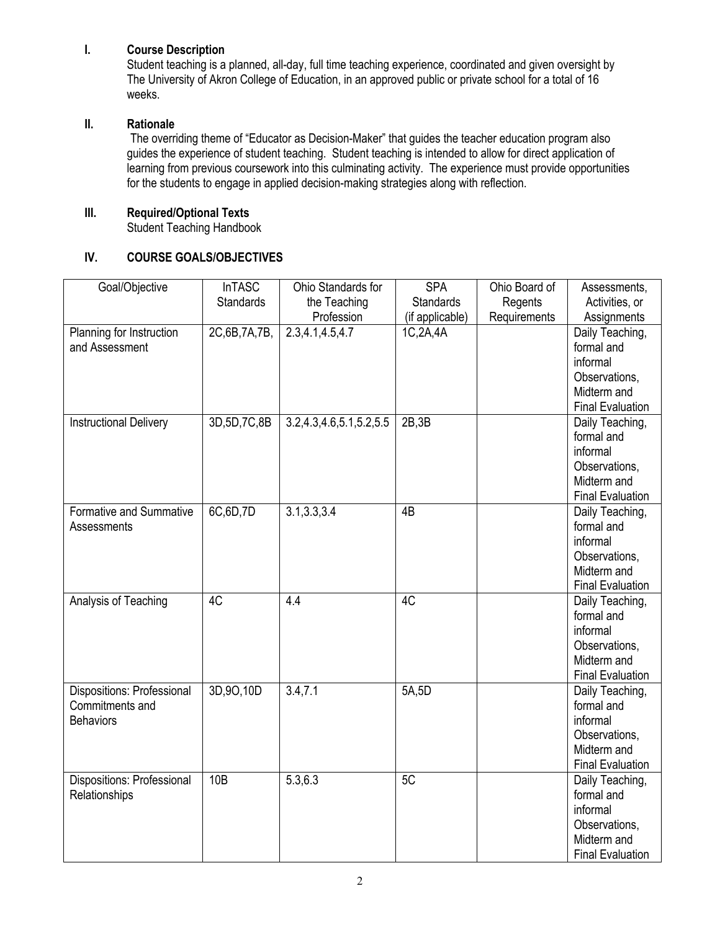## **I. Course Description**

Student teaching is a planned, all-day, full time teaching experience, coordinated and given oversight by The University of Akron College of Education, in an approved public or private school for a total of 16 weeks.

## **II. Rationale**

The overriding theme of "Educator as Decision-Maker" that guides the teacher education program also guides the experience of student teaching. Student teaching is intended to allow for direct application of learning from previous coursework into this culminating activity. The experience must provide opportunities for the students to engage in applied decision-making strategies along with reflection.

## **III. Required/Optional Texts**

Student Teaching Handbook

## **IV. COURSE GOALS/OBJECTIVES**

| Goal/Objective                    | <b>InTASC</b>    | Ohio Standards for      | <b>SPA</b>       | Ohio Board of | Assessments,                           |
|-----------------------------------|------------------|-------------------------|------------------|---------------|----------------------------------------|
|                                   | <b>Standards</b> | the Teaching            | <b>Standards</b> | Regents       | Activities, or                         |
|                                   |                  | Profession              | (if applicable)  | Requirements  | Assignments                            |
| Planning for Instruction          | 2C,6B,7A,7B,     | 2.3,4.1,4.5,4.7         | 1C,2A,4A         |               | Daily Teaching,                        |
| and Assessment                    |                  |                         |                  |               | formal and                             |
|                                   |                  |                         |                  |               | informal                               |
|                                   |                  |                         |                  |               | Observations,                          |
|                                   |                  |                         |                  |               | Midterm and                            |
|                                   |                  |                         |                  |               | <b>Final Evaluation</b>                |
| <b>Instructional Delivery</b>     | 3D, 5D, 7C, 8B   | 3.2,4.3,4.6,5.1,5.2,5.5 | 2B,3B            |               | Daily Teaching,                        |
|                                   |                  |                         |                  |               | formal and                             |
|                                   |                  |                         |                  |               | informal                               |
|                                   |                  |                         |                  |               | Observations,                          |
|                                   |                  |                         |                  |               | Midterm and                            |
|                                   |                  |                         |                  |               | <b>Final Evaluation</b>                |
| Formative and Summative           | 6C,6D,7D         | 3.1, 3.3, 3.4           | 4B               |               | Daily Teaching,                        |
| Assessments                       |                  |                         |                  |               | formal and                             |
|                                   |                  |                         |                  |               | informal                               |
|                                   |                  |                         |                  |               | Observations,                          |
|                                   |                  |                         |                  |               | Midterm and<br><b>Final Evaluation</b> |
| Analysis of Teaching              | 4C               | 4.4                     | 4C               |               | Daily Teaching,                        |
|                                   |                  |                         |                  |               | formal and                             |
|                                   |                  |                         |                  |               | informal                               |
|                                   |                  |                         |                  |               | Observations,                          |
|                                   |                  |                         |                  |               | Midterm and                            |
|                                   |                  |                         |                  |               | <b>Final Evaluation</b>                |
| <b>Dispositions: Professional</b> | 3D,9O,10D        | 3.4, 7.1                | 5A,5D            |               | Daily Teaching,                        |
| Commitments and                   |                  |                         |                  |               | formal and                             |
| <b>Behaviors</b>                  |                  |                         |                  |               | informal                               |
|                                   |                  |                         |                  |               | Observations,                          |
|                                   |                  |                         |                  |               | Midterm and                            |
|                                   |                  |                         |                  |               | <b>Final Evaluation</b>                |
| Dispositions: Professional        | 10B              | 5.3, 6.3                | 5C               |               | Daily Teaching,                        |
| Relationships                     |                  |                         |                  |               | formal and                             |
|                                   |                  |                         |                  |               | informal                               |
|                                   |                  |                         |                  |               | Observations,                          |
|                                   |                  |                         |                  |               | Midterm and                            |
|                                   |                  |                         |                  |               | <b>Final Evaluation</b>                |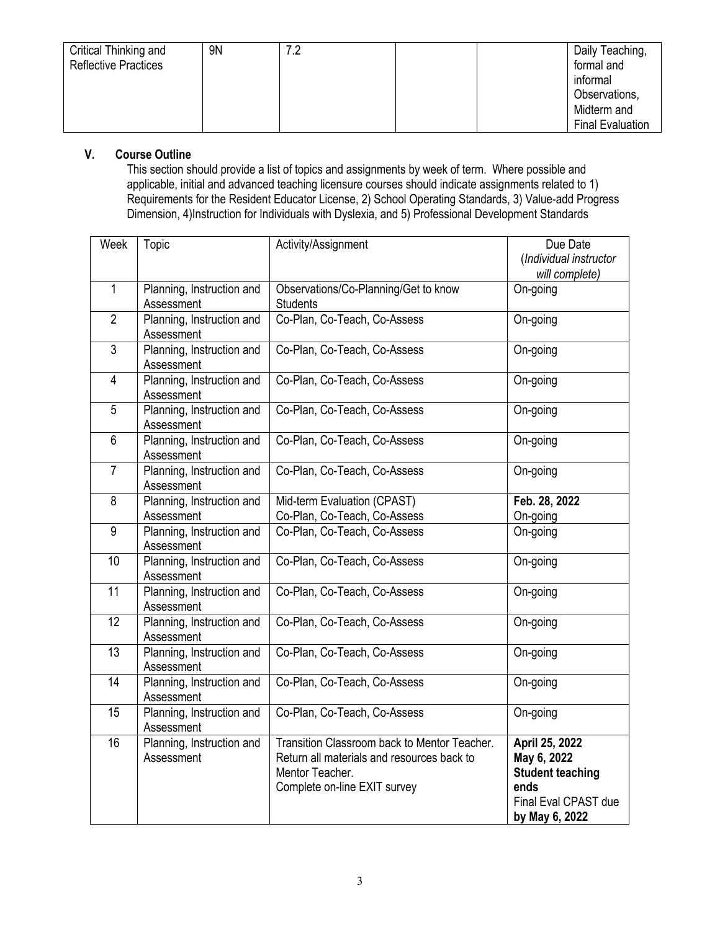| Critical Thinking and<br><b>Reflective Practices</b> | 9 <sub>N</sub> | 70 | Daily Teaching,<br>formal and<br>informal<br>Observations,<br>Midterm and |
|------------------------------------------------------|----------------|----|---------------------------------------------------------------------------|
|                                                      |                |    |                                                                           |
|                                                      |                |    | <b>Final Evaluation</b>                                                   |

## **V. Course Outline**

This section should provide a list of topics and assignments by week of term. Where possible and applicable, initial and advanced teaching licensure courses should indicate assignments related to 1) Requirements for the Resident Educator License, 2) School Operating Standards, 3) Value-add Progress Dimension, 4)Instruction for Individuals with Dyslexia, and 5) Professional Development Standards

| Week            | <b>Topic</b>                            | Activity/Assignment                                                                                                                           | Due Date<br>(Individual instructor<br>will complete)                                                       |
|-----------------|-----------------------------------------|-----------------------------------------------------------------------------------------------------------------------------------------------|------------------------------------------------------------------------------------------------------------|
| $\mathbf{1}$    | Planning, Instruction and<br>Assessment | Observations/Co-Planning/Get to know<br><b>Students</b>                                                                                       | On-going                                                                                                   |
| $\overline{2}$  | Planning, Instruction and<br>Assessment | Co-Plan, Co-Teach, Co-Assess                                                                                                                  | On-going                                                                                                   |
| 3               | Planning, Instruction and<br>Assessment | Co-Plan, Co-Teach, Co-Assess                                                                                                                  | On-going                                                                                                   |
| 4               | Planning, Instruction and<br>Assessment | Co-Plan, Co-Teach, Co-Assess                                                                                                                  | On-going                                                                                                   |
| 5               | Planning, Instruction and<br>Assessment | Co-Plan, Co-Teach, Co-Assess                                                                                                                  | On-going                                                                                                   |
| 6               | Planning, Instruction and<br>Assessment | Co-Plan, Co-Teach, Co-Assess                                                                                                                  | On-going                                                                                                   |
| $\overline{7}$  | Planning, Instruction and<br>Assessment | Co-Plan, Co-Teach, Co-Assess                                                                                                                  | On-going                                                                                                   |
| 8               | Planning, Instruction and<br>Assessment | Mid-term Evaluation (CPAST)<br>Co-Plan, Co-Teach, Co-Assess                                                                                   | Feb. 28, 2022<br>On-going                                                                                  |
| 9               | Planning, Instruction and<br>Assessment | Co-Plan, Co-Teach, Co-Assess                                                                                                                  | On-going                                                                                                   |
| 10              | Planning, Instruction and<br>Assessment | Co-Plan, Co-Teach, Co-Assess                                                                                                                  | On-going                                                                                                   |
| 11              | Planning, Instruction and<br>Assessment | Co-Plan, Co-Teach, Co-Assess                                                                                                                  | On-going                                                                                                   |
| $\overline{12}$ | Planning, Instruction and<br>Assessment | Co-Plan, Co-Teach, Co-Assess                                                                                                                  | On-going                                                                                                   |
| 13              | Planning, Instruction and<br>Assessment | Co-Plan, Co-Teach, Co-Assess                                                                                                                  | On-going                                                                                                   |
| 14              | Planning, Instruction and<br>Assessment | Co-Plan, Co-Teach, Co-Assess                                                                                                                  | On-going                                                                                                   |
| 15              | Planning, Instruction and<br>Assessment | Co-Plan, Co-Teach, Co-Assess                                                                                                                  | On-going                                                                                                   |
| 16              | Planning, Instruction and<br>Assessment | Transition Classroom back to Mentor Teacher.<br>Return all materials and resources back to<br>Mentor Teacher.<br>Complete on-line EXIT survey | April 25, 2022<br>May 6, 2022<br><b>Student teaching</b><br>ends<br>Final Eval CPAST due<br>by May 6, 2022 |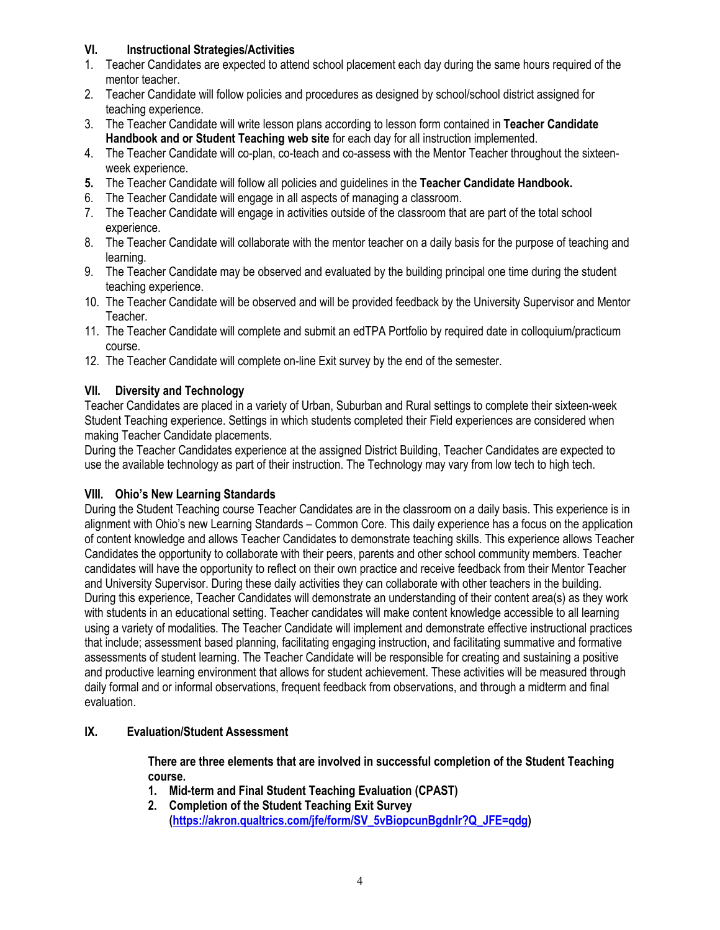## **VI. Instructional Strategies/Activities**

- 1. Teacher Candidates are expected to attend school placement each day during the same hours required of the mentor teacher.
- 2. Teacher Candidate will follow policies and procedures as designed by school/school district assigned for teaching experience.
- 3. The Teacher Candidate will write lesson plans according to lesson form contained in **Teacher Candidate Handbook and or Student Teaching web site** for each day for all instruction implemented.
- 4. The Teacher Candidate will co-plan, co-teach and co-assess with the Mentor Teacher throughout the sixteenweek experience.
- **5.** The Teacher Candidate will follow all policies and guidelines in the **Teacher Candidate Handbook.**
- 6. The Teacher Candidate will engage in all aspects of managing a classroom.
- 7. The Teacher Candidate will engage in activities outside of the classroom that are part of the total school experience.
- 8. The Teacher Candidate will collaborate with the mentor teacher on a daily basis for the purpose of teaching and learning.
- 9. The Teacher Candidate may be observed and evaluated by the building principal one time during the student teaching experience.
- 10. The Teacher Candidate will be observed and will be provided feedback by the University Supervisor and Mentor Teacher.
- 11. The Teacher Candidate will complete and submit an edTPA Portfolio by required date in colloquium/practicum course.
- 12. The Teacher Candidate will complete on-line Exit survey by the end of the semester.

## **VII. Diversity and Technology**

Teacher Candidates are placed in a variety of Urban, Suburban and Rural settings to complete their sixteen-week Student Teaching experience. Settings in which students completed their Field experiences are considered when making Teacher Candidate placements.

During the Teacher Candidates experience at the assigned District Building, Teacher Candidates are expected to use the available technology as part of their instruction. The Technology may vary from low tech to high tech.

## **VIII. Ohio's New Learning Standards**

During the Student Teaching course Teacher Candidates are in the classroom on a daily basis. This experience is in alignment with Ohio's new Learning Standards – Common Core. This daily experience has a focus on the application of content knowledge and allows Teacher Candidates to demonstrate teaching skills. This experience allows Teacher Candidates the opportunity to collaborate with their peers, parents and other school community members. Teacher candidates will have the opportunity to reflect on their own practice and receive feedback from their Mentor Teacher and University Supervisor. During these daily activities they can collaborate with other teachers in the building. During this experience, Teacher Candidates will demonstrate an understanding of their content area(s) as they work with students in an educational setting. Teacher candidates will make content knowledge accessible to all learning using a variety of modalities. The Teacher Candidate will implement and demonstrate effective instructional practices that include; assessment based planning, facilitating engaging instruction, and facilitating summative and formative assessments of student learning. The Teacher Candidate will be responsible for creating and sustaining a positive and productive learning environment that allows for student achievement. These activities will be measured through daily formal and or informal observations, frequent feedback from observations, and through a midterm and final evaluation.

## **IX. Evaluation/Student Assessment**

**There are three elements that are involved in successful completion of the Student Teaching course.**

- **1. Mid-term and Final Student Teaching Evaluation (CPAST)**
- **2. Completion of the Student Teaching Exit Survey (https://akron.qualtrics.com/jfe/form/SV\_5vBiopcunBgdnlr?Q\_JFE=qdg)**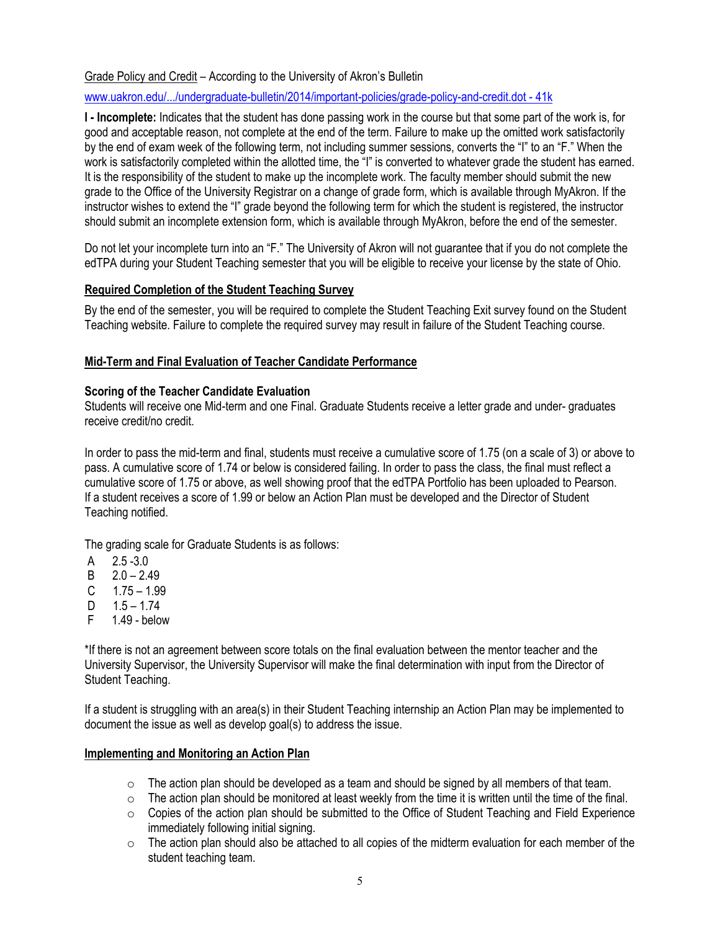Grade Policy and Credit – According to the University of Akron's Bulletin

www.uakron.edu/.../undergraduate-bulletin/2014/important-policies/grade-policy-and-credit.dot - 41k

**I - Incomplete:** Indicates that the student has done passing work in the course but that some part of the work is, for good and acceptable reason, not complete at the end of the term. Failure to make up the omitted work satisfactorily by the end of exam week of the following term, not including summer sessions, converts the "I" to an "F." When the work is satisfactorily completed within the allotted time, the "I" is converted to whatever grade the student has earned. It is the responsibility of the student to make up the incomplete work. The faculty member should submit the new grade to the Office of the University Registrar on a change of grade form, which is available through MyAkron. If the instructor wishes to extend the "I" grade beyond the following term for which the student is registered, the instructor should submit an incomplete extension form, which is available through MyAkron, before the end of the semester.

Do not let your incomplete turn into an "F." The University of Akron will not guarantee that if you do not complete the edTPA during your Student Teaching semester that you will be eligible to receive your license by the state of Ohio.

## **Required Completion of the Student Teaching Survey**

By the end of the semester, you will be required to complete the Student Teaching Exit survey found on the Student Teaching website. Failure to complete the required survey may result in failure of the Student Teaching course.

#### **Mid-Term and Final Evaluation of Teacher Candidate Performance**

#### **Scoring of the Teacher Candidate Evaluation**

Students will receive one Mid-term and one Final. Graduate Students receive a letter grade and under- graduates receive credit/no credit.

In order to pass the mid-term and final, students must receive a cumulative score of 1.75 (on a scale of 3) or above to pass. A cumulative score of 1.74 or below is considered failing. In order to pass the class, the final must reflect a cumulative score of 1.75 or above, as well showing proof that the edTPA Portfolio has been uploaded to Pearson. If a student receives a score of 1.99 or below an Action Plan must be developed and the Director of Student Teaching notified.

The grading scale for Graduate Students is as follows:

- $A = 2.5 3.0$
- $B = 2.0 2.49$
- $C = 1.75 1.99$
- D  $1.5 1.74$ <br>E  $1.49 -$  helow
- $1.49 -$  below

\*If there is not an agreement between score totals on the final evaluation between the mentor teacher and the University Supervisor, the University Supervisor will make the final determination with input from the Director of Student Teaching.

If a student is struggling with an area(s) in their Student Teaching internship an Action Plan may be implemented to document the issue as well as develop goal(s) to address the issue.

#### **Implementing and Monitoring an Action Plan**

- $\circ$  The action plan should be developed as a team and should be signed by all members of that team.
- $\circ$  The action plan should be monitored at least weekly from the time it is written until the time of the final.
- o Copies of the action plan should be submitted to the Office of Student Teaching and Field Experience immediately following initial signing.
- $\circ$  The action plan should also be attached to all copies of the midterm evaluation for each member of the student teaching team.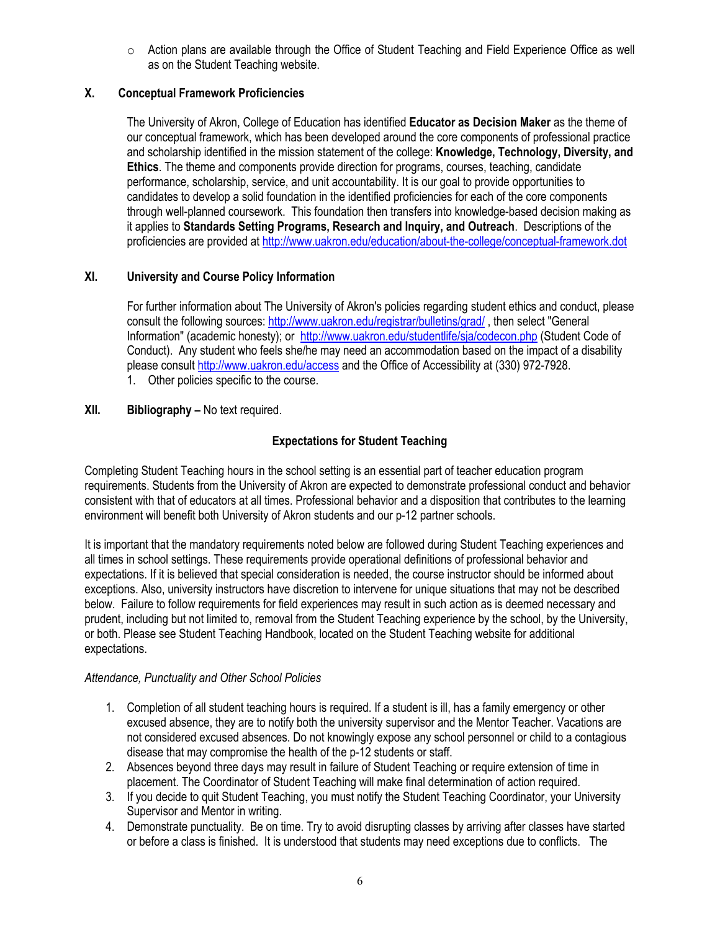$\circ$  Action plans are available through the Office of Student Teaching and Field Experience Office as well as on the Student Teaching website.

## **X. Conceptual Framework Proficiencies**

The University of Akron, College of Education has identified **Educator as Decision Maker** as the theme of our conceptual framework, which has been developed around the core components of professional practice and scholarship identified in the mission statement of the college: **Knowledge, Technology, Diversity, and Ethics**. The theme and components provide direction for programs, courses, teaching, candidate performance, scholarship, service, and unit accountability. It is our goal to provide opportunities to candidates to develop a solid foundation in the identified proficiencies for each of the core components through well-planned coursework. This foundation then transfers into knowledge-based decision making as it applies to **Standards Setting Programs, Research and Inquiry, and Outreach**. Descriptions of the proficiencies are provided at http://www.uakron.edu/education/about-the-college/conceptual-framework.dot

## **XI. University and Course Policy Information**

For further information about The University of Akron's policies regarding student ethics and conduct, please consult the following sources: http://www.uakron.edu/registrar/bulletins/grad/ , then select "General Information" (academic honesty); or http://www.uakron.edu/studentlife/sja/codecon.php (Student Code of Conduct). Any student who feels she/he may need an accommodation based on the impact of a disability please consult http://www.uakron.edu/access and the Office of Accessibility at (330) 972-7928.

1. Other policies specific to the course.

## **XII. Bibliography –** No text required.

## **Expectations for Student Teaching**

Completing Student Teaching hours in the school setting is an essential part of teacher education program requirements. Students from the University of Akron are expected to demonstrate professional conduct and behavior consistent with that of educators at all times. Professional behavior and a disposition that contributes to the learning environment will benefit both University of Akron students and our p-12 partner schools.

It is important that the mandatory requirements noted below are followed during Student Teaching experiences and all times in school settings. These requirements provide operational definitions of professional behavior and expectations. If it is believed that special consideration is needed, the course instructor should be informed about exceptions. Also, university instructors have discretion to intervene for unique situations that may not be described below. Failure to follow requirements for field experiences may result in such action as is deemed necessary and prudent, including but not limited to, removal from the Student Teaching experience by the school, by the University, or both. Please see Student Teaching Handbook, located on the Student Teaching website for additional expectations.

## *Attendance, Punctuality and Other School Policies*

- 1. Completion of all student teaching hours is required. If a student is ill, has a family emergency or other excused absence, they are to notify both the university supervisor and the Mentor Teacher. Vacations are not considered excused absences. Do not knowingly expose any school personnel or child to a contagious disease that may compromise the health of the p-12 students or staff.
- 2. Absences beyond three days may result in failure of Student Teaching or require extension of time in placement. The Coordinator of Student Teaching will make final determination of action required.
- 3. If you decide to quit Student Teaching, you must notify the Student Teaching Coordinator, your University Supervisor and Mentor in writing.
- 4. Demonstrate punctuality. Be on time. Try to avoid disrupting classes by arriving after classes have started or before a class is finished. It is understood that students may need exceptions due to conflicts. The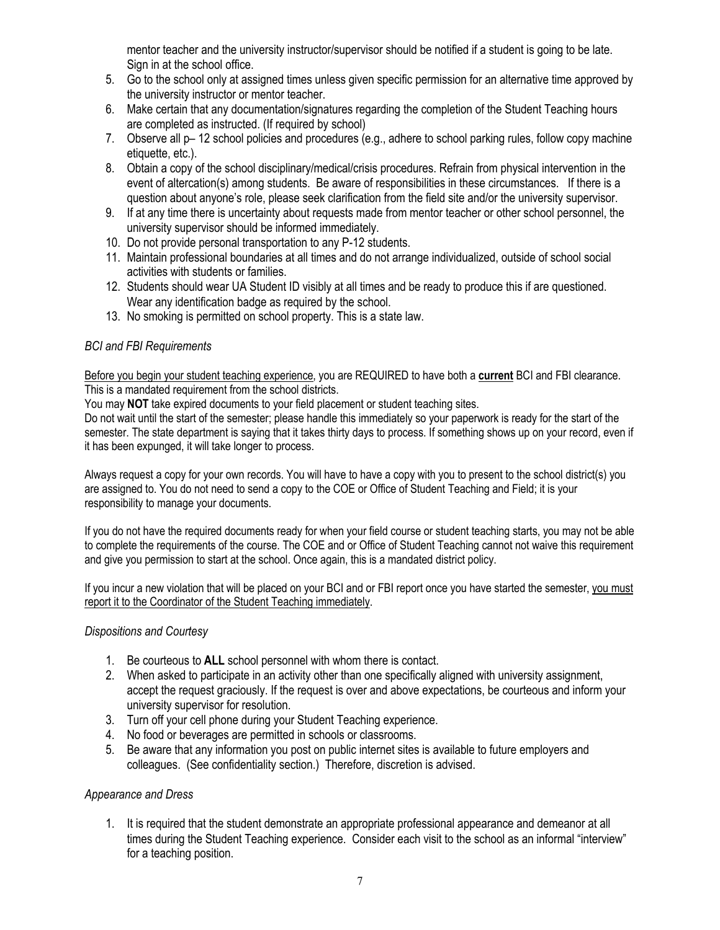mentor teacher and the university instructor/supervisor should be notified if a student is going to be late. Sign in at the school office.

- 5. Go to the school only at assigned times unless given specific permission for an alternative time approved by the university instructor or mentor teacher.
- 6. Make certain that any documentation/signatures regarding the completion of the Student Teaching hours are completed as instructed. (If required by school)
- 7. Observe all p– 12 school policies and procedures (e.g., adhere to school parking rules, follow copy machine etiquette, etc.).
- 8. Obtain a copy of the school disciplinary/medical/crisis procedures. Refrain from physical intervention in the event of altercation(s) among students. Be aware of responsibilities in these circumstances. If there is a question about anyone's role, please seek clarification from the field site and/or the university supervisor.
- 9. If at any time there is uncertainty about requests made from mentor teacher or other school personnel, the university supervisor should be informed immediately.
- 10. Do not provide personal transportation to any P-12 students.
- 11. Maintain professional boundaries at all times and do not arrange individualized, outside of school social activities with students or families.
- 12. Students should wear UA Student ID visibly at all times and be ready to produce this if are questioned. Wear any identification badge as required by the school.
- 13. No smoking is permitted on school property. This is a state law.

## *BCI and FBI Requirements*

Before you begin your student teaching experience, you are REQUIRED to have both a **current** BCI and FBI clearance. This is a mandated requirement from the school districts.

You may **NOT** take expired documents to your field placement or student teaching sites.

Do not wait until the start of the semester; please handle this immediately so your paperwork is ready for the start of the semester. The state department is saying that it takes thirty days to process. If something shows up on your record, even if it has been expunged, it will take longer to process.

Always request a copy for your own records. You will have to have a copy with you to present to the school district(s) you are assigned to. You do not need to send a copy to the COE or Office of Student Teaching and Field; it is your responsibility to manage your documents.

If you do not have the required documents ready for when your field course or student teaching starts, you may not be able to complete the requirements of the course. The COE and or Office of Student Teaching cannot not waive this requirement and give you permission to start at the school. Once again, this is a mandated district policy.

If you incur a new violation that will be placed on your BCI and or FBI report once you have started the semester, you must report it to the Coordinator of the Student Teaching immediately.

#### *Dispositions and Courtesy*

- 1. Be courteous to **ALL** school personnel with whom there is contact.
- 2. When asked to participate in an activity other than one specifically aligned with university assignment, accept the request graciously. If the request is over and above expectations, be courteous and inform your university supervisor for resolution.
- 3. Turn off your cell phone during your Student Teaching experience.
- 4. No food or beverages are permitted in schools or classrooms.
- 5. Be aware that any information you post on public internet sites is available to future employers and colleagues. (See confidentiality section.) Therefore, discretion is advised.

## *Appearance and Dress*

1. It is required that the student demonstrate an appropriate professional appearance and demeanor at all times during the Student Teaching experience. Consider each visit to the school as an informal "interview" for a teaching position.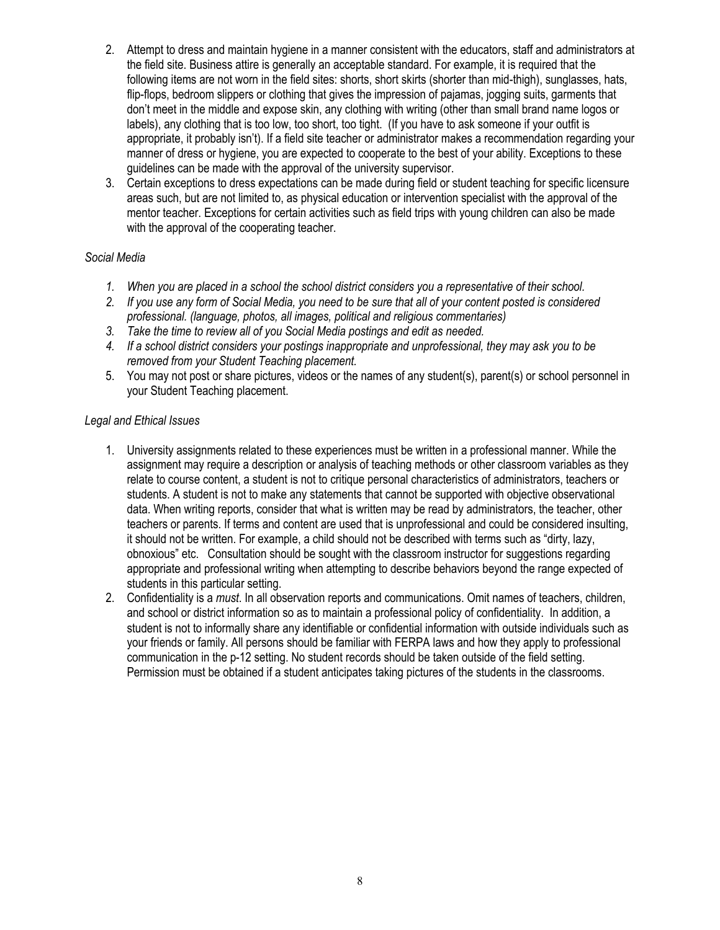- 2. Attempt to dress and maintain hygiene in a manner consistent with the educators, staff and administrators at the field site. Business attire is generally an acceptable standard. For example, it is required that the following items are not worn in the field sites: shorts, short skirts (shorter than mid-thigh), sunglasses, hats, flip-flops, bedroom slippers or clothing that gives the impression of pajamas, jogging suits, garments that don't meet in the middle and expose skin, any clothing with writing (other than small brand name logos or labels), any clothing that is too low, too short, too tight. (If you have to ask someone if your outfit is appropriate, it probably isn't). If a field site teacher or administrator makes a recommendation regarding your manner of dress or hygiene, you are expected to cooperate to the best of your ability. Exceptions to these guidelines can be made with the approval of the university supervisor.
- 3. Certain exceptions to dress expectations can be made during field or student teaching for specific licensure areas such, but are not limited to, as physical education or intervention specialist with the approval of the mentor teacher. Exceptions for certain activities such as field trips with young children can also be made with the approval of the cooperating teacher.

#### *Social Media*

- *1. When you are placed in a school the school district considers you a representative of their school.*
- *2. If you use any form of Social Media, you need to be sure that all of your content posted is considered professional. (language, photos, all images, political and religious commentaries)*
- *3. Take the time to review all of you Social Media postings and edit as needed.*
- *4. If a school district considers your postings inappropriate and unprofessional, they may ask you to be removed from your Student Teaching placement.*
- 5. You may not post or share pictures, videos or the names of any student(s), parent(s) or school personnel in your Student Teaching placement.

#### *Legal and Ethical Issues*

- 1. University assignments related to these experiences must be written in a professional manner. While the assignment may require a description or analysis of teaching methods or other classroom variables as they relate to course content, a student is not to critique personal characteristics of administrators, teachers or students. A student is not to make any statements that cannot be supported with objective observational data. When writing reports, consider that what is written may be read by administrators, the teacher, other teachers or parents. If terms and content are used that is unprofessional and could be considered insulting, it should not be written. For example, a child should not be described with terms such as "dirty, lazy, obnoxious" etc. Consultation should be sought with the classroom instructor for suggestions regarding appropriate and professional writing when attempting to describe behaviors beyond the range expected of students in this particular setting.
- 2. Confidentiality is a *must*. In all observation reports and communications. Omit names of teachers, children, and school or district information so as to maintain a professional policy of confidentiality. In addition, a student is not to informally share any identifiable or confidential information with outside individuals such as your friends or family. All persons should be familiar with FERPA laws and how they apply to professional communication in the p-12 setting. No student records should be taken outside of the field setting. Permission must be obtained if a student anticipates taking pictures of the students in the classrooms.